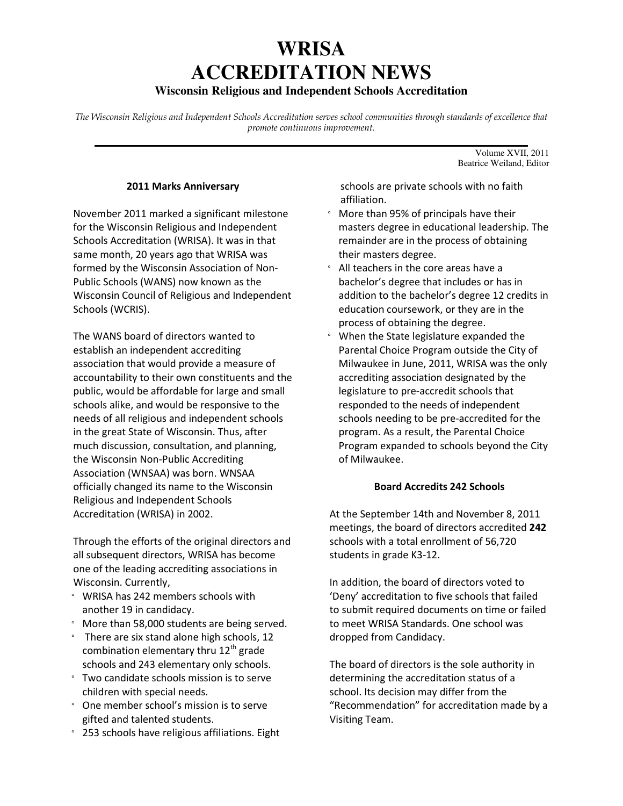# **WRISA ACCREDITATION NEWS**

# **Wisconsin Religious and Independent Schools Accreditation**

The Wisconsin Religious and Independent Schools Accreditation serves school communities through standards of excellence that promote continuous improvement. **\_\_\_\_\_\_\_\_\_\_\_\_\_\_\_\_\_\_\_\_\_\_\_\_\_\_\_\_\_\_\_\_\_\_\_\_\_\_\_\_\_\_\_\_\_\_\_\_\_\_\_\_\_\_\_\_\_\_\_\_\_\_\_\_\_\_\_\_\_\_\_**

#### 2011 Marks Anniversary

November 2011 marked a significant milestone for the Wisconsin Religious and Independent Schools Accreditation (WRISA). It was in that same month, 20 years ago that WRISA was formed by the Wisconsin Association of Non-Public Schools (WANS) now known as the Wisconsin Council of Religious and Independent Schools (WCRIS).

The WANS board of directors wanted to establish an independent accrediting association that would provide a measure of accountability to their own constituents and the public, would be affordable for large and small schools alike, and would be responsive to the needs of all religious and independent schools in the great State of Wisconsin. Thus, after much discussion, consultation, and planning, the Wisconsin Non-Public Accrediting Association (WNSAA) was born. WNSAA officially changed its name to the Wisconsin Religious and Independent Schools Accreditation (WRISA) in 2002.

Through the efforts of the original directors and all subsequent directors, WRISA has become one of the leading accrediting associations in Wisconsin. Currently,

- ° WRISA has 242 members schools with another 19 in candidacy.
- ° More than 58,000 students are being served.
- ° There are six stand alone high schools, 12 combination elementary thru  $12<sup>th</sup>$  grade schools and 243 elementary only schools.
- ° Two candidate schools mission is to serve children with special needs.
- ° One member school's mission is to serve gifted and talented students.
- ° 253 schools have religious affiliations. Eight

 schools are private schools with no faith affiliation.

Volume XVII, 2011 Beatrice Weiland, Editor

- ° More than 95% of principals have their masters degree in educational leadership. The remainder are in the process of obtaining their masters degree.
- ° All teachers in the core areas have a bachelor's degree that includes or has in addition to the bachelor's degree 12 credits in education coursework, or they are in the process of obtaining the degree.
- ° When the State legislature expanded the Parental Choice Program outside the City of Milwaukee in June, 2011, WRISA was the only accrediting association designated by the legislature to pre-accredit schools that responded to the needs of independent schools needing to be pre-accredited for the program. As a result, the Parental Choice Program expanded to schools beyond the City of Milwaukee.

#### Board Accredits 242 Schools

At the September 14th and November 8, 2011 meetings, the board of directors accredited 242 schools with a total enrollment of 56,720 students in grade K3-12.

In addition, the board of directors voted to 'Deny' accreditation to five schools that failed to submit required documents on time or failed to meet WRISA Standards. One school was dropped from Candidacy.

The board of directors is the sole authority in determining the accreditation status of a school. Its decision may differ from the "Recommendation" for accreditation made by a Visiting Team.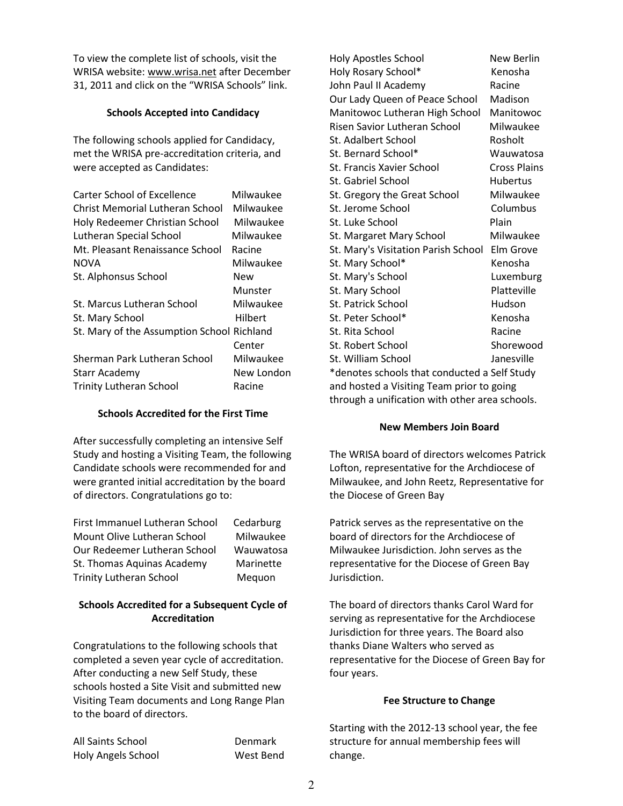To view the complete list of schools, visit the WRISA website: www.wrisa.net after December 31, 2011 and click on the "WRISA Schools" link.

# Schools Accepted into Candidacy

The following schools applied for Candidacy, met the WRISA pre-accreditation criteria, and were accepted as Candidates:

| <b>Carter School of Excellence</b>         | Milwaukee  |
|--------------------------------------------|------------|
| Christ Memorial Lutheran School            | Milwaukee  |
| Holy Redeemer Christian School             | Milwaukee  |
| Lutheran Special School                    | Milwaukee  |
| Mt. Pleasant Renaissance School            | Racine     |
| <b>NOVA</b>                                | Milwaukee  |
| St. Alphonsus School                       | New        |
|                                            | Munster    |
| St. Marcus Lutheran School                 | Milwaukee  |
| St. Mary School                            | Hilbert    |
| St. Mary of the Assumption School Richland |            |
|                                            | Center     |
| Sherman Park Lutheran School               | Milwaukee  |
| Starr Academy                              | New London |
| <b>Trinity Lutheran School</b>             | Racine     |
|                                            |            |

# Schools Accredited for the First Time

After successfully completing an intensive Self Study and hosting a Visiting Team, the following Candidate schools were recommended for and were granted initial accreditation by the board of directors. Congratulations go to:

| First Immanuel Lutheran School | Cedarburg |
|--------------------------------|-----------|
| Mount Olive Lutheran School    | Milwaukee |
| Our Redeemer Lutheran School   | Wauwatosa |
| St. Thomas Aquinas Academy     | Marinette |
| Trinity Lutheran School        | Mequon    |

# Schools Accredited for a Subsequent Cycle of Accreditation

Congratulations to the following schools that completed a seven year cycle of accreditation. After conducting a new Self Study, these schools hosted a Site Visit and submitted new Visiting Team documents and Long Range Plan to the board of directors.

All Saints School **Denmark** Holy Angels School West Bend

Holy Apostles School New Berlin Holy Rosary School\* Kenosha John Paul II Academy Racine Our Lady Queen of Peace School Madison Manitowoc Lutheran High School Manitowoc Risen Savior Lutheran School Milwaukee St. Adalbert School Rosholt St. Bernard School\* Wauwatosa St. Francis Xavier School Cross Plains St. Gabriel School **Hubertus** St. Gregory the Great School Milwaukee St. Jerome School Columbus St. Luke School Plain St. Margaret Mary School Milwaukee St. Mary's Visitation Parish School Elm Grove St. Mary School\* Kenosha St. Mary's School Luxemburg St. Mary School Platteville St. Patrick School **Hudson** St. Peter School\* Kenosha St. Rita School Racine St. Robert School Shorewood St. William School annual Janesville \*denotes schools that conducted a Self Study and hosted a Visiting Team prior to going through a unification with other area schools.

# New Members Join Board

The WRISA board of directors welcomes Patrick Lofton, representative for the Archdiocese of Milwaukee, and John Reetz, Representative for the Diocese of Green Bay

Patrick serves as the representative on the board of directors for the Archdiocese of Milwaukee Jurisdiction. John serves as the representative for the Diocese of Green Bay Jurisdiction.

The board of directors thanks Carol Ward for serving as representative for the Archdiocese Jurisdiction for three years. The Board also thanks Diane Walters who served as representative for the Diocese of Green Bay for four years.

# Fee Structure to Change

Starting with the 2012-13 school year, the fee structure for annual membership fees will change.